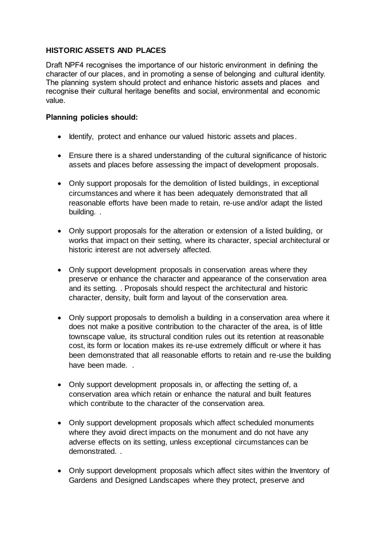## **HISTORIC ASSETS AND PLACES**

Draft NPF4 recognises the importance of our historic environment in defining the character of our places, and in promoting a sense of belonging and cultural identity. The planning system should protect and enhance historic assets and places and recognise their cultural heritage benefits and social, environmental and economic value.

## **Planning policies should:**

- Identify, protect and enhance our valued historic assets and places.
- Ensure there is a shared understanding of the cultural significance of historic assets and places before assessing the impact of development proposals.
- Only support proposals for the demolition of listed buildings, in exceptional circumstances and where it has been adequately demonstrated that all reasonable efforts have been made to retain, re-use and/or adapt the listed building. .
- Only support proposals for the alteration or extension of a listed building, or works that impact on their setting, where its character, special architectural or historic interest are not adversely affected.
- Only support development proposals in conservation areas where they preserve or enhance the character and appearance of the conservation area and its setting. . Proposals should respect the architectural and historic character, density, built form and layout of the conservation area.
- Only support proposals to demolish a building in a conservation area where it does not make a positive contribution to the character of the area, is of little townscape value, its structural condition rules out its retention at reasonable cost, its form or location makes its re-use extremely difficult or where it has been demonstrated that all reasonable efforts to retain and re-use the building have been made.
- Only support development proposals in, or affecting the setting of, a conservation area which retain or enhance the natural and built features which contribute to the character of the conservation area.
- Only support development proposals which affect scheduled monuments where they avoid direct impacts on the monument and do not have any adverse effects on its setting, unless exceptional circumstances can be demonstrated. .
- Only support development proposals which affect sites within the Inventory of Gardens and Designed Landscapes where they protect, preserve and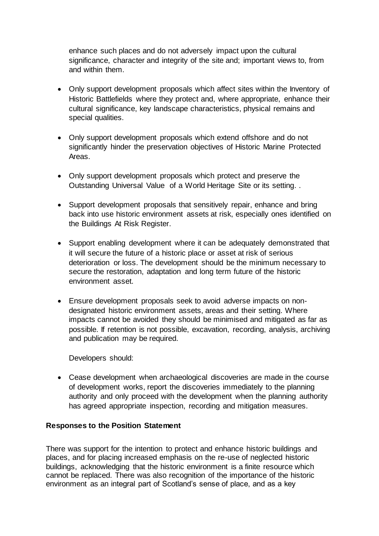enhance such places and do not adversely impact upon the cultural significance, character and integrity of the site and; important views to, from and within them.

- Only support development proposals which affect sites within the Inventory of Historic Battlefields where they protect and, where appropriate, enhance their cultural significance, key landscape characteristics, physical remains and special qualities.
- Only support development proposals which extend offshore and do not significantly hinder the preservation objectives of Historic Marine Protected Areas.
- Only support development proposals which protect and preserve the Outstanding Universal Value of a World Heritage Site or its setting. .
- Support development proposals that sensitively repair, enhance and bring back into use historic environment assets at risk, especially ones identified on the Buildings At Risk Register.
- Support enabling development where it can be adequately demonstrated that it will secure the future of a historic place or asset at risk of serious deterioration or loss. The development should be the minimum necessary to secure the restoration, adaptation and long term future of the historic environment asset.
- Ensure development proposals seek to avoid adverse impacts on nondesignated historic environment assets, areas and their setting. Where impacts cannot be avoided they should be minimised and mitigated as far as possible. If retention is not possible, excavation, recording, analysis, archiving and publication may be required.

Developers should:

 Cease development when archaeological discoveries are made in the course of development works, report the discoveries immediately to the planning authority and only proceed with the development when the planning authority has agreed appropriate inspection, recording and mitigation measures.

## **Responses to the Position Statement**

There was support for the intention to protect and enhance historic buildings and places, and for placing increased emphasis on the re-use of neglected historic buildings, acknowledging that the historic environment is a finite resource which cannot be replaced. There was also recognition of the importance of the historic environment as an integral part of Scotland's sense of place, and as a key